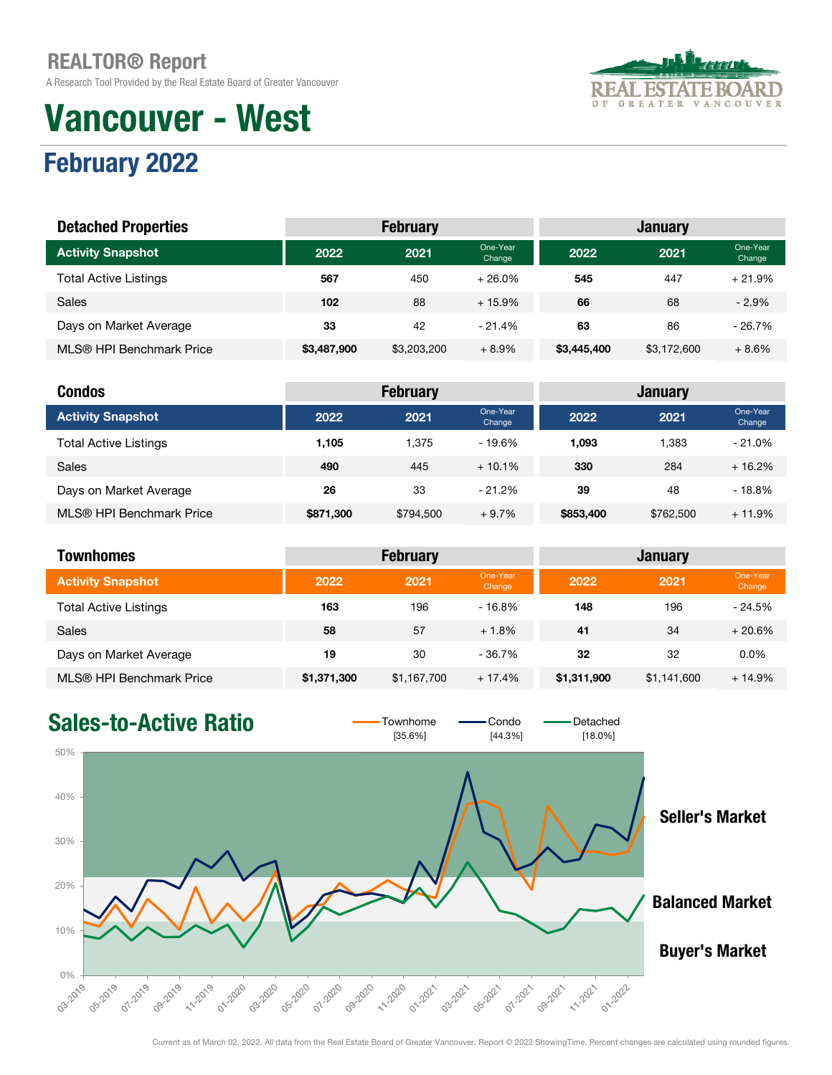A Research Tool Provided by the Real Estate Board of Greater Vancouver

# Vancouver - West



# February 2022

| <b>Detached Properties</b>   |             | <b>February</b> |                    | <b>January</b> |             |                    |  |
|------------------------------|-------------|-----------------|--------------------|----------------|-------------|--------------------|--|
| <b>Activity Snapshot</b>     | 2022        | 2021            | One-Year<br>Change | 2022           | 2021        | One-Year<br>Change |  |
| <b>Total Active Listings</b> | 567         | 450             | $+26.0\%$          | 545            | 447         | $+21.9%$           |  |
| Sales                        | 102         | 88              | $+15.9%$           | 66             | 68          | $-2.9%$            |  |
| Days on Market Average       | 33          | 42              | $-21.4%$           | 63             | 86          | $-26.7%$           |  |
| MLS® HPI Benchmark Price     | \$3,487,900 | \$3,203,200     | $+8.9%$            | \$3,445,400    | \$3,172,600 | $+8.6%$            |  |

| <b>Condos</b>                |           | <b>February</b> |                    |           | <b>January</b> |                    |
|------------------------------|-----------|-----------------|--------------------|-----------|----------------|--------------------|
| <b>Activity Snapshot</b>     | 2022      | 2021            | One-Year<br>Change | 2022      | 2021           | One-Year<br>Change |
| <b>Total Active Listings</b> | 1.105     | 1.375           | $-19.6%$           | 1.093     | 1.383          | $-21.0%$           |
| <b>Sales</b>                 | 490       | 445             | $+10.1\%$          | 330       | 284            | $+16.2%$           |
| Days on Market Average       | 26        | 33              | $-21.2%$           | 39        | 48             | $-18.8%$           |
| MLS® HPI Benchmark Price     | \$871,300 | \$794.500       | $+9.7%$            | \$853,400 | \$762,500      | $+11.9%$           |

| <b>Townhomes</b>             | <b>February</b><br><b>January</b> |             |                    |             |             |                    |
|------------------------------|-----------------------------------|-------------|--------------------|-------------|-------------|--------------------|
| <b>Activity Snapshot</b>     | 2022                              | 2021        | One-Year<br>Change | 2022        | 2021        | One-Year<br>Change |
| <b>Total Active Listings</b> | 163                               | 196         | $-16.8%$           | 148         | 196         | $-24.5%$           |
| <b>Sales</b>                 | 58                                | 57          | $+1.8%$            | 41          | 34          | $+20.6%$           |
| Days on Market Average       | 19                                | 30          | $-36.7\%$          | 32          | 32          | 0.0%               |
| MLS® HPI Benchmark Price     | \$1,371,300                       | \$1,167,700 | $+17.4%$           | \$1,311,900 | \$1,141,600 | $+14.9%$           |

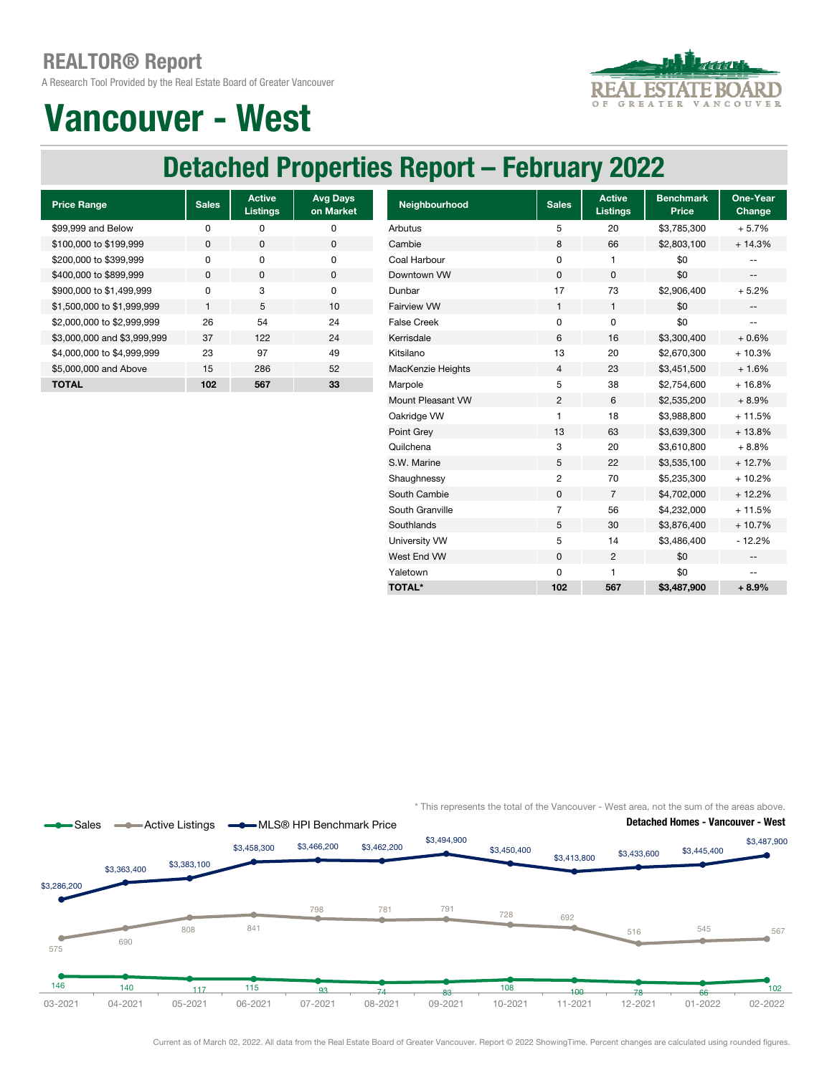A Research Tool Provided by the Real Estate Board of Greater Vancouver



# Vancouver - West

### Detached Properties Report – February 2022

| <b>Price Range</b>          | <b>Sales</b> | <b>Active</b><br><b>Listings</b> | <b>Avg Days</b><br>on Market |
|-----------------------------|--------------|----------------------------------|------------------------------|
| \$99,999 and Below          | ŋ            | ŋ                                | O                            |
| \$100,000 to \$199,999      | $\Omega$     | $\Omega$                         | 0                            |
| \$200,000 to \$399,999      | U            | $\Omega$                         | O                            |
| \$400,000 to \$899,999      | $\Omega$     | $\Omega$                         | 0                            |
| \$900,000 to \$1,499,999    | n            | 3                                | O                            |
| \$1,500,000 to \$1,999,999  | 1            | 5                                | 10                           |
| \$2,000,000 to \$2,999,999  | 26           | 54                               | 24                           |
| \$3,000,000 and \$3,999,999 | 37           | 122                              | 24                           |
| \$4,000,000 to \$4,999,999  | 23           | 97                               | 49                           |
| \$5,000,000 and Above       | 15           | 286                              | 52                           |
| TOTAL                       | 102          | 567                              | 33                           |

| <b>Price Range</b>          | <b>Sales</b> | <b>Active</b><br><b>Listings</b> | <b>Avg Days</b><br>on Market | Neighbourhood            | <b>Sales</b>   | <b>Active</b><br><b>Listings</b> | <b>Benchmark</b><br>Price | One-Year<br>Change       |
|-----------------------------|--------------|----------------------------------|------------------------------|--------------------------|----------------|----------------------------------|---------------------------|--------------------------|
| \$99,999 and Below          | 0            | 0                                | 0                            | Arbutus                  | 5              | 20                               | \$3,785,300               | $+5.7%$                  |
| \$100,000 to \$199,999      | 0            | 0                                | $\mathbf 0$                  | Cambie                   | 8              | 66                               | \$2,803,100               | $+14.3%$                 |
| \$200,000 to \$399,999      | 0            | 0                                | 0                            | Coal Harbour             | 0              |                                  | \$0                       |                          |
| \$400,000 to \$899.999      | $\mathbf{0}$ | 0                                | 0                            | Downtown VW              | $\mathbf 0$    | 0                                | \$0                       | $\overline{\phantom{a}}$ |
| \$900,000 to \$1,499,999    | $\mathbf 0$  | 3                                | 0                            | Dunbar                   | 17             | 73                               | \$2,906,400               | $+5.2%$                  |
| \$1,500,000 to \$1,999,999  | 1            | 5                                | 10                           | Fairview VW              | $\mathbf{1}$   | 1                                | \$0                       | $\qquad \qquad -$        |
| \$2,000,000 to \$2,999,999  | 26           | 54                               | 24                           | <b>False Creek</b>       | $\mathbf 0$    | 0                                | \$0                       | --                       |
| \$3,000,000 and \$3,999,999 | 37           | 122                              | 24                           | Kerrisdale               | 6              | 16                               | \$3,300,400               | $+0.6%$                  |
| \$4,000,000 to \$4,999,999  | 23           | 97                               | 49                           | Kitsilano                | 13             | 20                               | \$2,670,300               | $+10.3%$                 |
| \$5,000,000 and Above       | 15           | 286                              | 52                           | <b>MacKenzie Heights</b> | 4              | 23                               | \$3,451,500               | $+1.6%$                  |
| <b>TOTAL</b>                | 102          | 567                              | 33                           | Marpole                  | 5              | 38                               | \$2,754,600               | $+16.8%$                 |
|                             |              |                                  |                              | Mount Pleasant VW        | $\overline{c}$ | 6                                | \$2,535,200               | $+8.9%$                  |
|                             |              |                                  |                              | Oakridge VW              | 1              | 18                               | \$3,988,800               | $+11.5%$                 |
|                             |              |                                  |                              | Point Grey               | 13             | 63                               | \$3,639,300               | $+13.8%$                 |
|                             |              |                                  |                              | Quilchena                | 3              | 20                               | \$3,610,800               | $+8.8%$                  |
|                             |              |                                  |                              | S.W. Marine              | 5              | 22                               | \$3,535,100               | $+12.7%$                 |
|                             |              |                                  |                              | Shaughnessy              | 2              | 70                               | \$5,235,300               | $+10.2%$                 |
|                             |              |                                  |                              | South Cambie             | 0              | $\overline{7}$                   | \$4,702,000               | $+12.2%$                 |
|                             |              |                                  |                              | South Granville          | $\overline{7}$ | 56                               | \$4,232,000               | $+11.5%$                 |
|                             |              |                                  |                              | Southlands               | 5              | 30                               | \$3,876,400               | $+10.7%$                 |
|                             |              |                                  |                              | University VW            | 5              | 14                               | \$3,486,400               | $-12.2%$                 |
|                             |              |                                  |                              | West End VW              | $\mathbf 0$    | 2                                | \$0                       | $- -$                    |
|                             |              |                                  |                              | Yaletown                 | 0              | 1                                | \$0                       | --                       |
|                             |              |                                  |                              | <b>TOTAL*</b>            | 102            | 567                              | \$3,487,900               | $+8.9%$                  |
|                             |              |                                  |                              |                          |                |                                  |                           |                          |

\* This represents the total of the Vancouver - West area, not the sum of the areas above.



Current as of March 02, 2022. All data from the Real Estate Board of Greater Vancouver. Report © 2022 ShowingTime. Percent changes are calculated using rounded figures.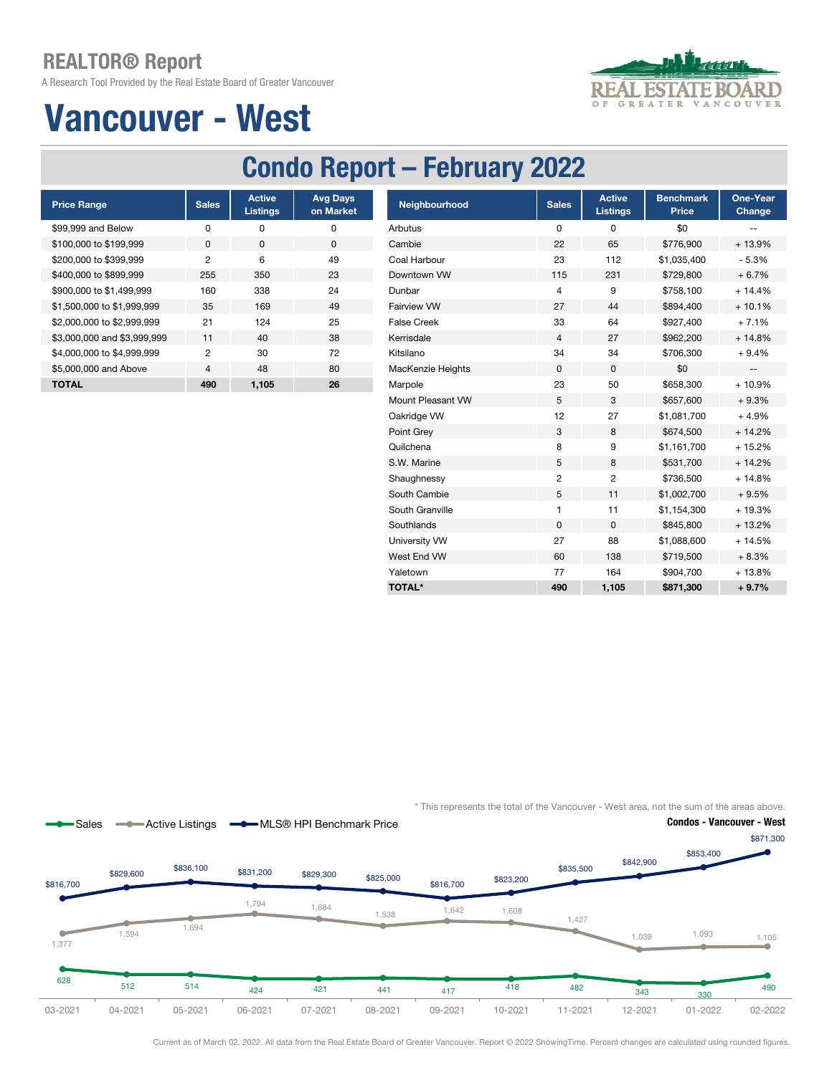A Research Tool Provided by the Real Estate Board of Greater Vancouver



# Vancouver - West

## Condo Report – February 2022

| <b>Price Range</b>          | <b>Sales</b>   | <b>Active</b><br><b>Listings</b> | <b>Avg Days</b><br>on Market |
|-----------------------------|----------------|----------------------------------|------------------------------|
| \$99,999 and Below          | O              | ŋ                                | ŋ                            |
| \$100,000 to \$199,999      | <sup>0</sup>   | O                                | $\Omega$                     |
| \$200,000 to \$399,999      | 2              | 6                                | 49                           |
| \$400,000 to \$899,999      | 255            | 350                              | 23                           |
| \$900,000 to \$1,499,999    | 160            | 338                              | 24                           |
| \$1,500,000 to \$1,999,999  | 35             | 169                              | 49                           |
| \$2,000,000 to \$2,999,999  | 21             | 124                              | 25                           |
| \$3,000,000 and \$3,999,999 | 11             | 40                               | 38                           |
| \$4,000,000 to \$4,999,999  | 2              | 30                               | 72                           |
| \$5,000,000 and Above       | $\overline{4}$ | 48                               | 80                           |
| ΤΟΤΑL                       | 490            | 1.105                            | 26                           |

| <b>Price Range</b>          | <b>Sales</b>   | <b>Active</b><br><b>Listings</b> | <b>Avg Days</b><br>on Market | Neighbourhood      | <b>Sales</b>   | <b>Active</b><br><b>Listings</b> | <b>Benchmark</b><br><b>Price</b> | One-Year<br>Change       |
|-----------------------------|----------------|----------------------------------|------------------------------|--------------------|----------------|----------------------------------|----------------------------------|--------------------------|
| \$99,999 and Below          | 0              | 0                                | 0                            | Arbutus            | 0              | 0                                | \$0                              | --                       |
| \$100,000 to \$199,999      | 0              | 0                                | $\mathbf 0$                  | Cambie             | 22             | 65                               | \$776,900                        | + 13.9%                  |
| \$200,000 to \$399,999      | $\overline{c}$ | 6                                | 49                           | Coal Harbour       | 23             | 112                              | \$1,035,400                      | $-5.3%$                  |
| \$400,000 to \$899,999      | 255            | 350                              | 23                           | Downtown VW        | 115            | 231                              | \$729,800                        | $+6.7%$                  |
| \$900,000 to \$1,499,999    | 160            | 338                              | 24                           | Dunbar             | 4              | 9                                | \$758,100                        | $+14.4%$                 |
| \$1,500,000 to \$1,999,999  | 35             | 169                              | 49                           | <b>Fairview VW</b> | 27             | 44                               | \$894,400                        | $+10.1%$                 |
| \$2,000,000 to \$2,999,999  | 21             | 124                              | 25                           | <b>False Creek</b> | 33             | 64                               | \$927,400                        | $+7.1%$                  |
| \$3,000,000 and \$3,999,999 | 11             | 40                               | 38                           | Kerrisdale         | 4              | 27                               | \$962,200                        | $+14.8%$                 |
| \$4,000,000 to \$4,999,999  | 2              | 30                               | 72                           | Kitsilano          | 34             | 34                               | \$706,300                        | $+9.4%$                  |
| \$5,000,000 and Above       | 4              | 48                               | 80                           | MacKenzie Heights  | $\mathbf 0$    | 0                                | \$0                              | $\overline{\phantom{a}}$ |
| <b>TOTAL</b>                | 490            | 1,105                            | 26                           | Marpole            | 23             | 50                               | \$658,300                        | + 10.9%                  |
|                             |                |                                  |                              | Mount Pleasant VW  | 5              | 3                                | \$657,600                        | $+9.3%$                  |
|                             |                |                                  |                              | Oakridge VW        | 12             | 27                               | \$1,081,700                      | $+4.9%$                  |
|                             |                |                                  |                              | Point Grey         | 3              | 8                                | \$674,500                        | $+14.2%$                 |
|                             |                |                                  |                              | Quilchena          | 8              | 9                                | \$1,161,700                      | $+15.2%$                 |
|                             |                |                                  |                              | S.W. Marine        | 5              | 8                                | \$531,700                        | $+14.2%$                 |
|                             |                |                                  |                              | Shaughnessy        | $\overline{c}$ | 2                                | \$736,500                        | $+14.8%$                 |
|                             |                |                                  |                              | South Cambie       | 5              | 11                               | \$1,002,700                      | $+9.5%$                  |
|                             |                |                                  |                              | South Granville    | 1              | 11                               | \$1,154,300                      | + 19.3%                  |
|                             |                |                                  |                              | Southlands         | 0              | 0                                | \$845,800                        | $+13.2%$                 |
|                             |                |                                  |                              | University VW      | 27             | 88                               | \$1,088,600                      | $+14.5%$                 |
|                             |                |                                  |                              | West End VW        | 60             | 138                              | \$719,500                        | $+8.3%$                  |
|                             |                |                                  |                              | Yaletown           | 77             | 164                              | \$904,700                        | $+13.8%$                 |
|                             |                |                                  |                              | <b>TOTAL*</b>      | 490            | 1,105                            | \$871,300                        | $+9.7%$                  |
|                             |                |                                  |                              |                    |                |                                  |                                  |                          |

\* This represents the total of the Vancouver - West area, not the sum of the areas above.



Current as of March 02, 2022. All data from the Real Estate Board of Greater Vancouver. Report © 2022 ShowingTime. Percent changes are calculated using rounded figures.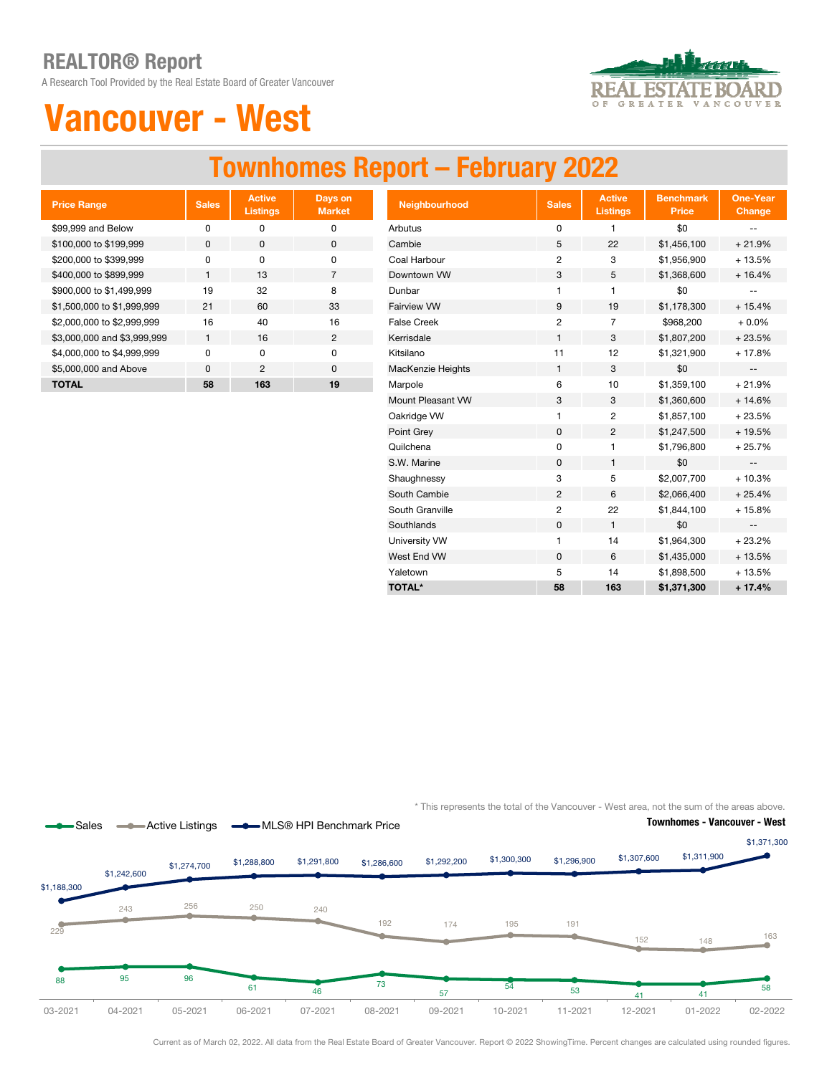A Research Tool Provided by the Real Estate Board of Greater Vancouver



# Vancouver - West

### Townhomes Report – February 2022

| <b>Price Range</b>          | <b>Sales</b> | <b>Active</b><br><b>Listings</b> | Days on<br><b>Market</b> |
|-----------------------------|--------------|----------------------------------|--------------------------|
| \$99,999 and Below          | n            | ŋ                                | ი                        |
| \$100,000 to \$199,999      | $\Omega$     | O                                | 0                        |
| \$200,000 to \$399,999      | O            | $\Omega$                         | 0                        |
| \$400,000 to \$899,999      | 1            | 13                               | 7                        |
| \$900,000 to \$1,499,999    | 19           | 32                               | 8                        |
| \$1,500,000 to \$1,999,999  | 21           | 60                               | 33                       |
| \$2,000,000 to \$2,999,999  | 16           | 40                               | 16                       |
| \$3,000,000 and \$3,999,999 | 1            | 16                               | 2                        |
| \$4,000,000 to \$4,999,999  | U            | O                                | O                        |
| \$5,000,000 and Above       | $\Omega$     | $\overline{2}$                   | $\Omega$                 |
| TOTAL                       | 58           | 163                              | 19                       |

| <b>Price Range</b>          | <b>Sales</b> | <b>Active</b><br><b>Listings</b> | Days on<br><b>Market</b> | Neighbourhood      | <b>Sales</b>   | <b>Active</b><br><b>Listings</b> | <b>Benchmark</b><br><b>Price</b> | One-Year<br>Change                            |
|-----------------------------|--------------|----------------------------------|--------------------------|--------------------|----------------|----------------------------------|----------------------------------|-----------------------------------------------|
| \$99,999 and Below          | $\pmb{0}$    | 0                                | 0                        | Arbutus            | 0              | 1                                | \$0                              | --                                            |
| \$100,000 to \$199,999      | 0            | $\mathbf 0$                      | $\mathsf 0$              | Cambie             | 5              | 22                               | \$1,456,100                      | $+21.9%$                                      |
| \$200,000 to \$399,999      | $\pmb{0}$    | 0                                | 0                        | Coal Harbour       | $\overline{2}$ | 3                                | \$1,956,900                      | $+13.5%$                                      |
| \$400,000 to \$899,999      | $\mathbf{1}$ | 13                               | $\overline{7}$           | Downtown VW        | 3              | 5                                | \$1,368,600                      | $+16.4%$                                      |
| \$900,000 to \$1,499,999    | 19           | 32                               | 8                        | Dunbar             | 1              | 1                                | \$0                              |                                               |
| \$1,500,000 to \$1,999,999  | 21           | 60                               | 33                       | Fairview VW        | 9              | 19                               | \$1,178,300                      | $+15.4%$                                      |
| \$2,000,000 to \$2,999,999  | 16           | 40                               | 16                       | <b>False Creek</b> | 2              | $\overline{7}$                   | \$968,200                        | $+0.0%$                                       |
| \$3,000,000 and \$3,999,999 | $\mathbf{1}$ | 16                               | $\overline{2}$           | Kerrisdale         | 1              | 3                                | \$1,807,200                      | $+23.5%$                                      |
| \$4,000,000 to \$4,999,999  | $\mathbf 0$  | 0                                | 0                        | Kitsilano          | 11             | 12                               | \$1,321,900                      | $+17.8%$                                      |
| \$5,000,000 and Above       | 0            | $\overline{c}$                   | 0                        | MacKenzie Heights  | 1              | 3                                | \$0                              | $\mathord{\hspace{1pt}\text{--}\hspace{1pt}}$ |
| <b>TOTAL</b>                | 58           | 163                              | 19                       | Marpole            | 6              | 10                               | \$1,359,100                      | $+21.9%$                                      |
|                             |              |                                  |                          | Mount Pleasant VW  | 3              | 3                                | \$1,360,600                      | $+14.6%$                                      |
|                             |              |                                  |                          | Oakridge VW        | 1              | 2                                | \$1,857,100                      | $+23.5%$                                      |
|                             |              |                                  |                          | Point Grey         | 0              | 2                                | \$1,247,500                      | + 19.5%                                       |
|                             |              |                                  |                          | Quilchena          | $\mathbf 0$    | 1                                | \$1,796,800                      | $+25.7%$                                      |
|                             |              |                                  |                          | S.W. Marine        | $\mathbf 0$    | $\mathbf{1}$                     | \$0                              | $\overline{\phantom{a}}$                      |
|                             |              |                                  |                          | Shaughnessy        | 3              | 5                                | \$2,007,700                      | $+10.3%$                                      |
|                             |              |                                  |                          | South Cambie       | $\overline{c}$ | 6                                | \$2,066,400                      | $+25.4%$                                      |
|                             |              |                                  |                          | South Granville    | 2              | 22                               | \$1,844,100                      | $+15.8%$                                      |
|                             |              |                                  |                          | Southlands         | 0              | $\mathbf{1}$                     | \$0                              | $\overline{\phantom{a}}$                      |
|                             |              |                                  |                          | University VW      | $\mathbf{1}$   | 14                               | \$1,964,300                      | $+23.2%$                                      |
|                             |              |                                  |                          | West End VW        | $\pmb{0}$      | 6                                | \$1,435,000                      | $+13.5%$                                      |
|                             |              |                                  |                          | Yaletown           | 5              | 14                               | \$1,898,500                      | $+13.5%$                                      |
|                             |              |                                  |                          | <b>TOTAL*</b>      | 58             | 163                              | \$1,371,300                      | $+17.4%$                                      |

\* This represents the total of the Vancouver - West area, not the sum of the areas above.



Current as of March 02, 2022. All data from the Real Estate Board of Greater Vancouver. Report © 2022 ShowingTime. Percent changes are calculated using rounded figures.